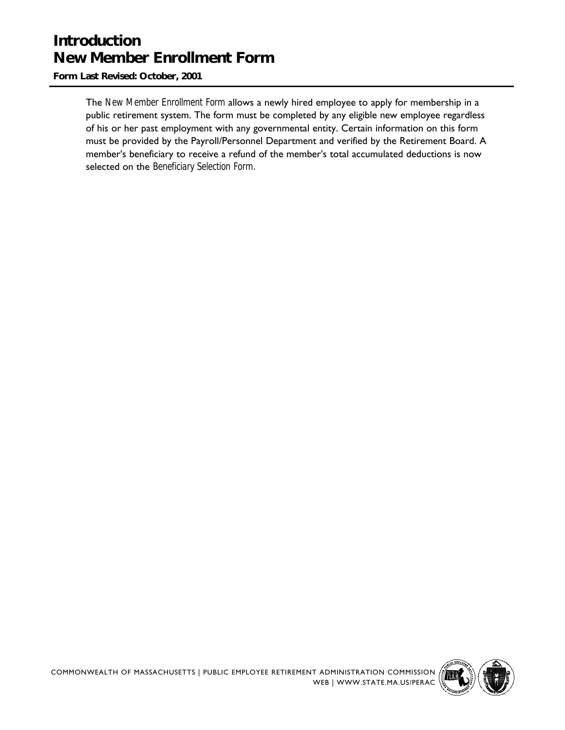# **Introduction New Member Enrollment Form**

**Form Last Revised: October, 2001**

The *New Member Enrollment Form* allows a newly hired employee to apply for membership in a public retirement system. The form must be completed by any eligible new employee regardless of his or her past employment with any governmental entity. Certain information on this form must be provided by the Payroll/Personnel Department and verified by the Retirement Board. A member's beneficiary to receive a refund of the member's total accumulated deductions is now selected on the *Beneficiary Selection Form.*

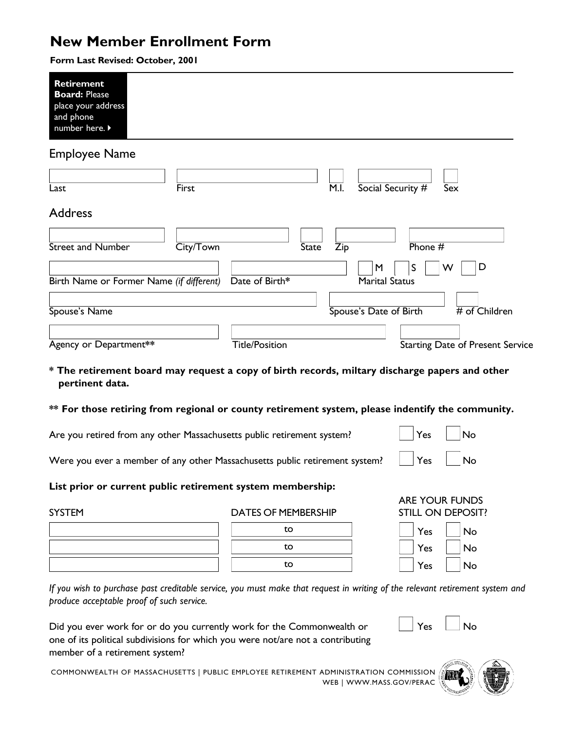# **New Member Enrollment Form**

**Form Last Revised: October, 2001**

| <b>Retirement</b><br><b>Board: Please</b><br>place your address<br>and phone<br>number here. ▶                    |           |                       |              |                            |           |                                         |  |
|-------------------------------------------------------------------------------------------------------------------|-----------|-----------------------|--------------|----------------------------|-----------|-----------------------------------------|--|
| Employee Name                                                                                                     |           |                       |              |                            |           |                                         |  |
| Last                                                                                                              | First     |                       | M.I.         | Social Security #          |           | Sex                                     |  |
| Address                                                                                                           |           |                       |              |                            |           |                                         |  |
| <b>Street and Number</b>                                                                                          | City/Town |                       | <b>State</b> | $\overline{Zip}$           | Phone $#$ |                                         |  |
| Birth Name or Former Name (if different)                                                                          |           | Date of Birth*        |              | M<br><b>Marital Status</b> | S         | D<br>w                                  |  |
| Spouse's Name                                                                                                     |           |                       |              | Spouse's Date of Birth     |           | $\overline{\#}$ of Children             |  |
| Agency or Department**                                                                                            |           | <b>Title/Position</b> |              |                            |           | <b>Starting Date of Present Service</b> |  |
| * The retirement board may request a copy of birth records, miltary discharge papers and other<br>pertinent data. |           |                       |              |                            |           |                                         |  |
| ** For those retiring from regional or county retirement system, please indentify the community.                  |           |                       |              |                            |           |                                         |  |
| Are you retired from any other Massachusetts public retirement system?                                            |           |                       |              |                            | Yes       | No                                      |  |
| Were you ever a member of any other Massachusetts public retirement system?                                       |           |                       |              |                            | Yes       | No                                      |  |

**List prior or current public retirement system membership:**

SYSTEM DATES OF MEMBERSHIP

| to |  |
|----|--|
| to |  |
| to |  |

| ARE YOUR FUNDS                             |                |
|--------------------------------------------|----------------|
| STILL ON DEPOSIT?                          |                |
| <b>Contract Contract Contract Contract</b> | $\overline{a}$ |

| Yes | No |
|-----|----|
| Yes | No |
| Yes | No |

*If you wish to purchase past creditable service, you must make that request in writing of the relevant retirement system and produce acceptable proof of such service.*

Did you ever work for or do you currently work for the Commonwealth or  $\Box$  Yes  $\Box$  No one of its political subdivisions for which you were not/are not a contributing member of a retirement system?

COMMONWEALTH OF MASSACHUSETTS | PUBLIC EMPLOYEE RETIREMENT ADMINISTRATION COMMISSION  $\frac{1}{2}$ WEB | WWW.MASS.GOV/PERAC